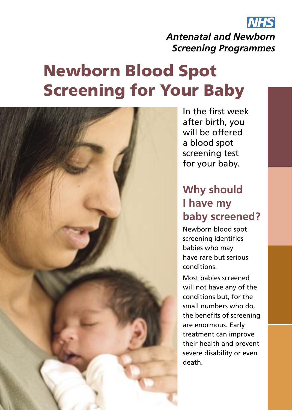

*Antenatal and Newborn Screening Programmes*

# Newborn Blood Spot Screening for Your Baby



In the first week after birth, you will be offered a blood spot screening test for your baby.

# **Why should I have my baby screened?**

Newborn blood spot screening identifies babies who may have rare but serious conditions.

Most babies screened will not have any of the conditions but, for the small numbers who do, the benefits of screening are enormous. Early treatment can improve their health and prevent severe disability or even death.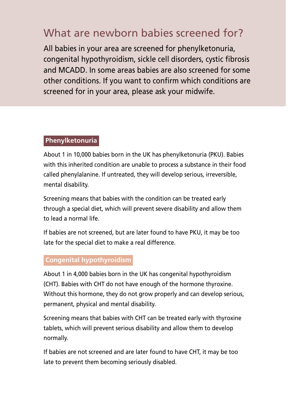# What are newborn babies screened for?

All babies in your area are screened for phenylketonuria, congenital hypothyroidism, sickle cell disorders, cystic fibrosis and MCADD. In some areas babies are also screened for some other conditions. If you want to confirm which conditions are screened for in your area, please ask your midwife.

#### **Phenylketonuria**

About 1 in 10,000 babies born in the UK has phenylketonuria (PKU). Babies with this inherited condition are unable to process a substance in their food called phenylalanine. If untreated, they will develop serious, irreversible, mental disability.

Screening means that babies with the condition can be treated early through a special diet, which will prevent severe disability and allow them to lead a normal life.

If babies are not screened, but are later found to have PKU, it may be too late for the special diet to make a real difference.

#### **Congenital hypothyroidism**

About 1 in 4,000 babies born in the UK has congenital hypothyroidism (CHT). Babies with CHT do not have enough of the hormone thyroxine. Without this hormone, they do not grow properly and can develop serious, permanent, physical and mental disability.

Screening means that babies with CHT can be treated early with thyroxine tablets, which will prevent serious disability and allow them to develop normally.

If babies are not screened and are later found to have CHT, it may be too late to prevent them becoming seriously disabled.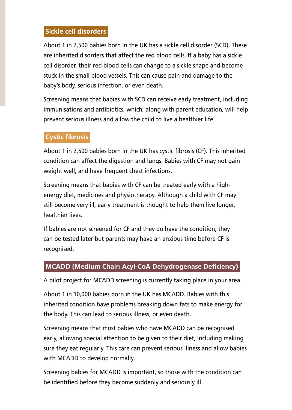#### **Sickle cell disorders**

About 1 in 2,500 babies born in the UK has a sickle cell disorder (SCD). These are inherited disorders that affect the red blood cells. If a baby has a sickle cell disorder, their red blood cells can change to a sickle shape and become stuck in the small blood vessels. This can cause pain and damage to the baby's body, serious infection, or even death.

Screening means that babies with SCD can receive early treatment, including immunisations and antibiotics, which, along with parent education, will help prevent serious illness and allow the child to live a healthier life.

### **Cystic fibrosis**

About 1 in 2,500 babies born in the UK has cystic fibrosis (CF). This inherited condition can affect the digestion and lungs. Babies with CF may not gain weight well, and have frequent chest infections.

Screening means that babies with CF can be treated early with a highenergy diet, medicines and physiotherapy. Although a child with CF may still become very ill, early treatment is thought to help them live longer, healthier lives.

If babies are not screened for CF and they do have the condition, they can be tested later but parents may have an anxious time before CF is recognised.

#### **MCADD (Medium Chain Acyl-CoA Dehydrogenase Deficiency)**

A pilot project for MCADD screening is currently taking place in your area.

About 1 in 10,000 babies born in the UK has MCADD. Babies with this inherited condition have problems breaking down fats to make energy for the body. This can lead to serious illness, or even death.

Screening means that most babies who have MCADD can be recognised early, allowing special attention to be given to their diet, including making sure they eat regularly. This care can prevent serious illness and allow babies with MCADD to develop normally.

Screening babies for MCADD is important, so those with the condition can be identified before they become suddenly and seriously ill.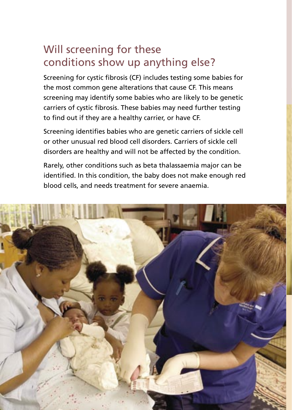# Will screening for these conditions show up anything else?

Screening for cystic fibrosis (CF) includes testing some babies for the most common gene alterations that cause CF. This means screening may identify some babies who are likely to be genetic carriers of cystic fibrosis. These babies may need further testing to find out if they are a healthy carrier, or have CF.

Screening identifies babies who are genetic carriers of sickle cell or other unusual red blood cell disorders. Carriers of sickle cell disorders are healthy and will not be affected by the condition.

Rarely, other conditions such as beta thalassaemia major can be identified. In this condition, the baby does not make enough red blood cells, and needs treatment for severe anaemia.

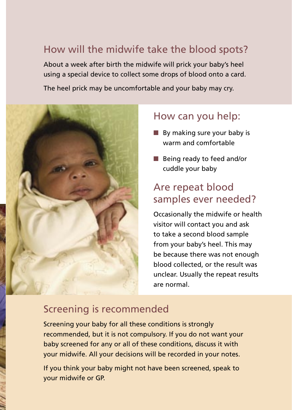### How will the midwife take the blood spots?

About a week after birth the midwife will prick your baby's heel using a special device to collect some drops of blood onto a card.

The heel prick may be uncomfortable and your baby may cry.



### How can you help:

- By making sure your baby is warm and comfortable
- Being ready to feed and/or cuddle your baby

### Are repeat blood samples ever needed?

Occasionally the midwife or health visitor will contact you and ask to take a second blood sample from your baby's heel. This may be because there was not enough blood collected, or the result was unclear. Usually the repeat results are normal.

### Screening is recommended

Screening your baby for all these conditions is strongly recommended, but it is not compulsory. If you do not want your baby screened for any or all of these conditions, discuss it with your midwife. All your decisions will be recorded in your notes.

If you think your baby might not have been screened, speak to your midwife or GP.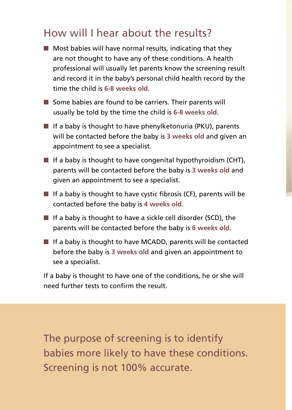## How will I hear about the results?

- $\blacksquare$  Most babies will have normal results, indicating that they are not thought to have any of these conditions. A health professional will usually let parents know the screening result and record it in the baby's personal child health record by the time the child is **6-8 weeks old**.
- Some babies are found to be carriers. Their parents will usually be told by the time the child is **6-8 weeks old**.
- $\blacksquare$  If a baby is thought to have phenylketonuria (PKU), parents will be contacted before the baby is **3 weeks old** and given an appointment to see a specialist.
- If a baby is thought to have congenital hypothyroidism (CHT), parents will be contacted before the baby is **3 weeks old** and given an appointment to see a specialist.
- $\blacksquare$  If a baby is thought to have cystic fibrosis (CF), parents will be contacted before the baby is **4 weeks old**.
- If a baby is thought to have a sickle cell disorder (SCD), the parents will be contacted before the baby is **6 weeks old**.
- If a baby is thought to have MCADD, parents will be contacted before the baby is **3 weeks old** and given an appointment to see a specialist.

If a baby is thought to have one of the conditions, he or she will need further tests to confirm the result.

The purpose of screening is to identify babies more likely to have these conditions. Screening is not 100% accurate.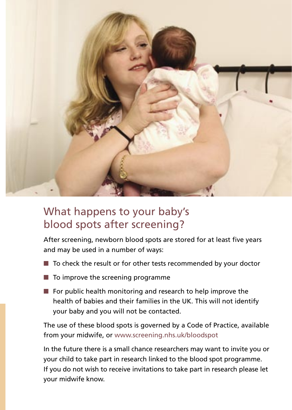

# What happens to your baby's blood spots after screening?

After screening, newborn blood spots are stored for at least five years and may be used in a number of ways:

- To check the result or for other tests recommended by your doctor
- $\blacksquare$  To improve the screening programme
- $\blacksquare$  For public health monitoring and research to help improve the health of babies and their families in the UK. This will not identify your baby and you will not be contacted.

The use of these blood spots is governed by a Code of Practice, available from your midwife, or www.screening.nhs.uk/bloodspot

In the future there is a small chance researchers may want to invite you or your child to take part in research linked to the blood spot programme. If you do not wish to receive invitations to take part in research please let your midwife know.